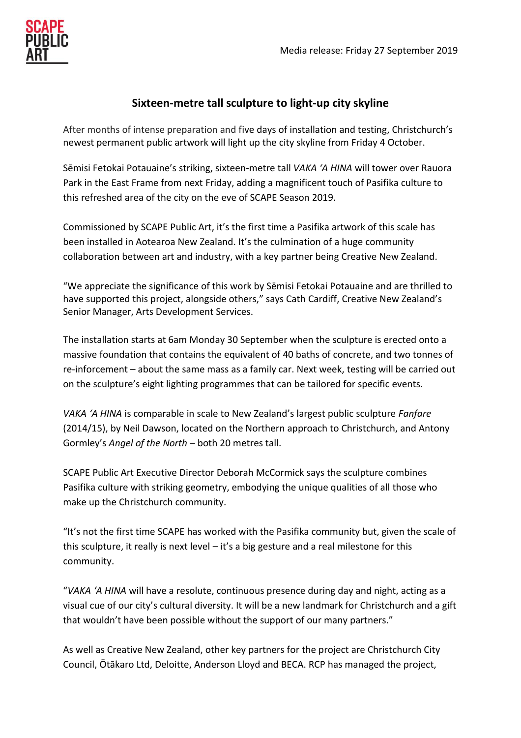

# **Sixteen-metre tall sculpture to light-up city skyline**

After months of intense preparation and five days of installation and testing, Christchurch's newest permanent public artwork will light up the city skyline from Friday 4 October.

Sēmisi Fetokai Potauaine's striking, sixteen-metre tall *VAKA 'A HINA* will tower over Rauora Park in the East Frame from next Friday, adding a magnificent touch of Pasifika culture to this refreshed area of the city on the eve of SCAPE Season 2019.

Commissioned by SCAPE Public Art, it's the first time a Pasifika artwork of this scale has been installed in Aotearoa New Zealand. It's the culmination of a huge community collaboration between art and industry, with a key partner being Creative New Zealand.

"We appreciate the significance of this work by Sēmisi Fetokai Potauaine and are thrilled to have supported this project, alongside others," says Cath Cardiff, Creative New Zealand's Senior Manager, Arts Development Services.

The installation starts at 6am Monday 30 September when the sculpture is erected onto a massive foundation that contains the equivalent of 40 baths of concrete, and two tonnes of re-inforcement – about the same mass as a family car. Next week, testing will be carried out on the sculpture's eight lighting programmes that can be tailored for specific events.

*VAKA 'A HINA* is comparable in scale to New Zealand's largest public sculpture *Fanfare* (2014/15), by Neil Dawson, located on the Northern approach to Christchurch, and Antony Gormley's *Angel of the North –* both 20 metres tall.

SCAPE Public Art Executive Director Deborah McCormick says the sculpture combines Pasifika culture with striking geometry, embodying the unique qualities of all those who make up the Christchurch community.

"It's not the first time SCAPE has worked with the Pasifika community but, given the scale of this sculpture, it really is next level – it's a big gesture and a real milestone for this community.

"*VAKA 'A HINA* will have a resolute, continuous presence during day and night, acting as a visual cue of our city's cultural diversity. It will be a new landmark for Christchurch and a gift that wouldn't have been possible without the support of our many partners."

As well as Creative New Zealand, other key partners for the project are Christchurch City Council, Ōtākaro Ltd, Deloitte, Anderson Lloyd and BECA. RCP has managed the project,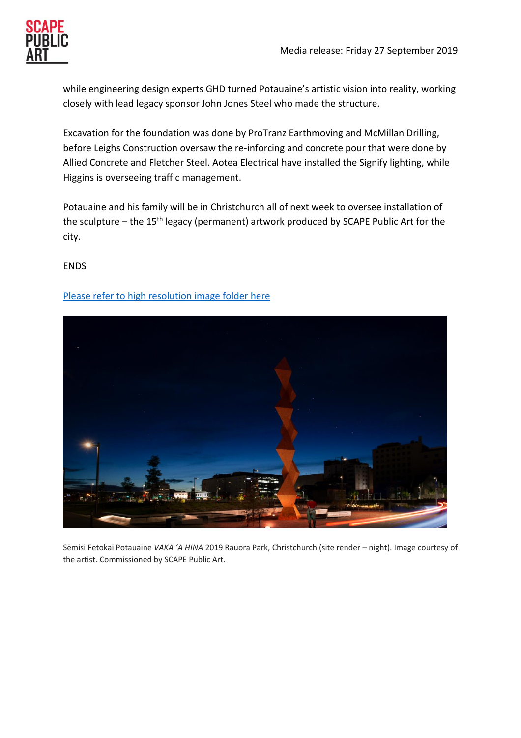while engineering design experts GHD turned Potauaine's artistic vision into reality, working closely with lead legacy sponsor John Jones Steel who made the structure.

Excavation for the foundation was done by ProTranz Earthmoving and McMillan Drilling, before Leighs Construction oversaw the re-inforcing and concrete pour that were done by Allied Concrete and Fletcher Steel. Aotea Electrical have installed the Signify lighting, while Higgins is overseeing traffic management.

Potauaine and his family will be in Christchurch all of next week to oversee installation of the sculpture – the 15<sup>th</sup> legacy (permanent) artwork produced by SCAPE Public Art for the city.

### ENDS

## [Please refer to high resolution image folder here](https://www.dropbox.com/sh/z7y8h0ttty6oomj/AAC-OZYcoi0hmvT0WWfB5TVYa?dl=0)



Sēmisi Fetokai Potauaine *VAKA 'A HINA* 2019 Rauora Park, Christchurch (site render – night). Image courtesy of the artist. Commissioned by SCAPE Public Art.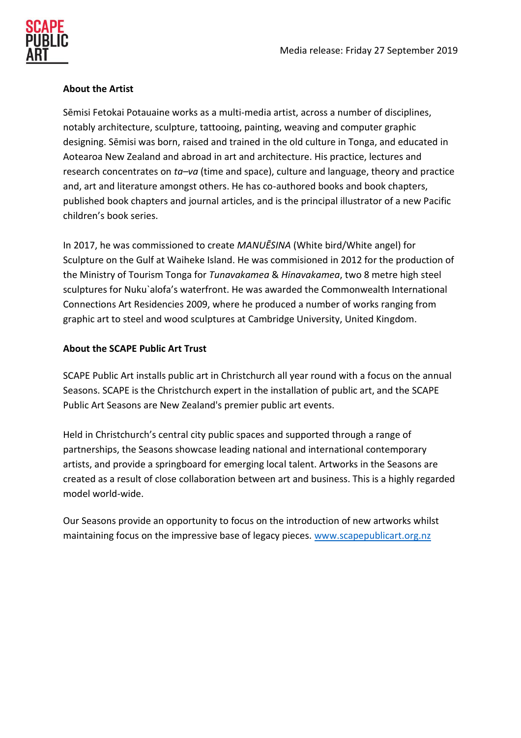

#### **About the Artist**

Sēmisi Fetokai Potauaine works as a multi-media artist, across a number of disciplines, notably architecture, sculpture, tattooing, painting, weaving and computer graphic designing. Sēmisi was born, raised and trained in the old culture in Tonga, and educated in Aotearoa New Zealand and abroad in art and architecture. His practice, lectures and research concentrates on *ta–va* (time and space), culture and language, theory and practice and, art and literature amongst others. He has co-authored books and book chapters, published book chapters and journal articles, and is the principal illustrator of a new Pacific children's book series.

In 2017, he was commissioned to create *MANUĒSINA* (White bird/White angel) for Sculpture on the Gulf at Waiheke Island. He was commisioned in 2012 for the production of the Ministry of Tourism Tonga for *Tunavakamea* & *Hinavakamea*, two 8 metre high steel sculptures for Nuku`alofa's waterfront. He was awarded the Commonwealth International Connections Art Residencies 2009, where he produced a number of works ranging from graphic art to steel and wood sculptures at Cambridge University, United Kingdom.

### **About the SCAPE Public Art Trust**

SCAPE Public Art installs public art in Christchurch all year round with a focus on the annual Seasons. SCAPE is the Christchurch expert in the installation of public art, and the SCAPE Public Art Seasons are New Zealand's premier public art events.

Held in Christchurch's central city public spaces and supported through a range of partnerships, the Seasons showcase leading national and international contemporary artists, and provide a springboard for emerging local talent. Artworks in the Seasons are created as a result of close collaboration between art and business. This is a highly regarded model world-wide.

Our Seasons provide an opportunity to focus on the introduction of new artworks whilst maintaining focus on the impressive base of legacy pieces. [www.scapepublicart.org.nz](http://www.scapepublicart.org.nz/)